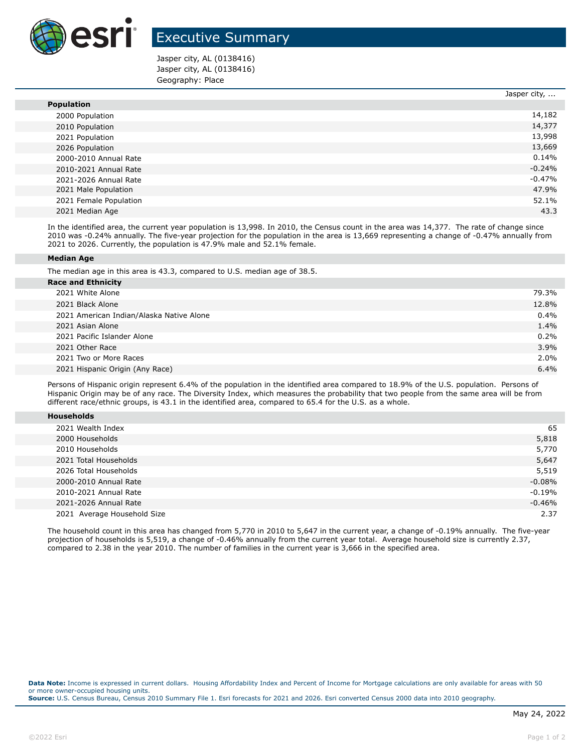

## Executive Summary

Jasper city, AL (0138416) Jasper city, AL (0138416) Geography: Place

|                        | Jasper city, |
|------------------------|--------------|
| <b>Population</b>      |              |
| 2000 Population        | 14,182       |
| 2010 Population        | 14,377       |
| 2021 Population        | 13,998       |
| 2026 Population        | 13,669       |
| 2000-2010 Annual Rate  | $0.14\%$     |
| 2010-2021 Annual Rate  | $-0.24%$     |
| 2021-2026 Annual Rate  | $-0.47\%$    |
| 2021 Male Population   | 47.9%        |
| 2021 Female Population | 52.1%        |
| 2021 Median Age        | 43.3         |

In the identified area, the current year population is 13,998. In 2010, the Census count in the area was 14,377. The rate of change since 2010 was -0.24% annually. The five-year projection for the population in the area is 13,669 representing a change of -0.47% annually from 2021 to 2026. Currently, the population is 47.9% male and 52.1% female.

## **Median Age**

The median age in this area is 43.3, compared to U.S. median age of 38.5.

| <b>Race and Ethnicity</b>                |       |
|------------------------------------------|-------|
| 2021 White Alone                         | 79.3% |
| 2021 Black Alone                         | 12.8% |
| 2021 American Indian/Alaska Native Alone | 0.4%  |
| 2021 Asian Alone                         | 1.4%  |
| 2021 Pacific Islander Alone              | 0.2%  |
| 2021 Other Race                          | 3.9%  |
| 2021 Two or More Races                   | 2.0%  |
| 2021 Hispanic Origin (Any Race)          | 6.4%  |

Persons of Hispanic origin represent 6.4% of the population in the identified area compared to 18.9% of the U.S. population. Persons of Hispanic Origin may be of any race. The Diversity Index, which measures the probability that two people from the same area will be from different race/ethnic groups, is 43.1 in the identified area, compared to 65.4 for the U.S. as a whole.

| <b>Households</b> |
|-------------------|
|-------------------|

| 2021 Wealth Index           | 65       |
|-----------------------------|----------|
| 2000 Households             | 5,818    |
| 2010 Households             | 5,770    |
| 2021 Total Households       | 5,647    |
| 2026 Total Households       | 5,519    |
| 2000-2010 Annual Rate       | $-0.08%$ |
| 2010-2021 Annual Rate       | $-0.19%$ |
| 2021-2026 Annual Rate       | $-0.46%$ |
| 2021 Average Household Size | 2.37     |

The household count in this area has changed from 5,770 in 2010 to 5,647 in the current year, a change of -0.19% annually. The five-year projection of households is 5,519, a change of -0.46% annually from the current year total. Average household size is currently 2.37, compared to 2.38 in the year 2010. The number of families in the current year is 3,666 in the specified area.

**Data Note:** Income is expressed in current dollars. Housing Affordability Index and Percent of Income for Mortgage calculations are only available for areas with 50 or more owner-occupied housing units. **Source:** U.S. Census Bureau, Census 2010 Summary File 1. Esri forecasts for 2021 and 2026. Esri converted Census 2000 data into 2010 geography.